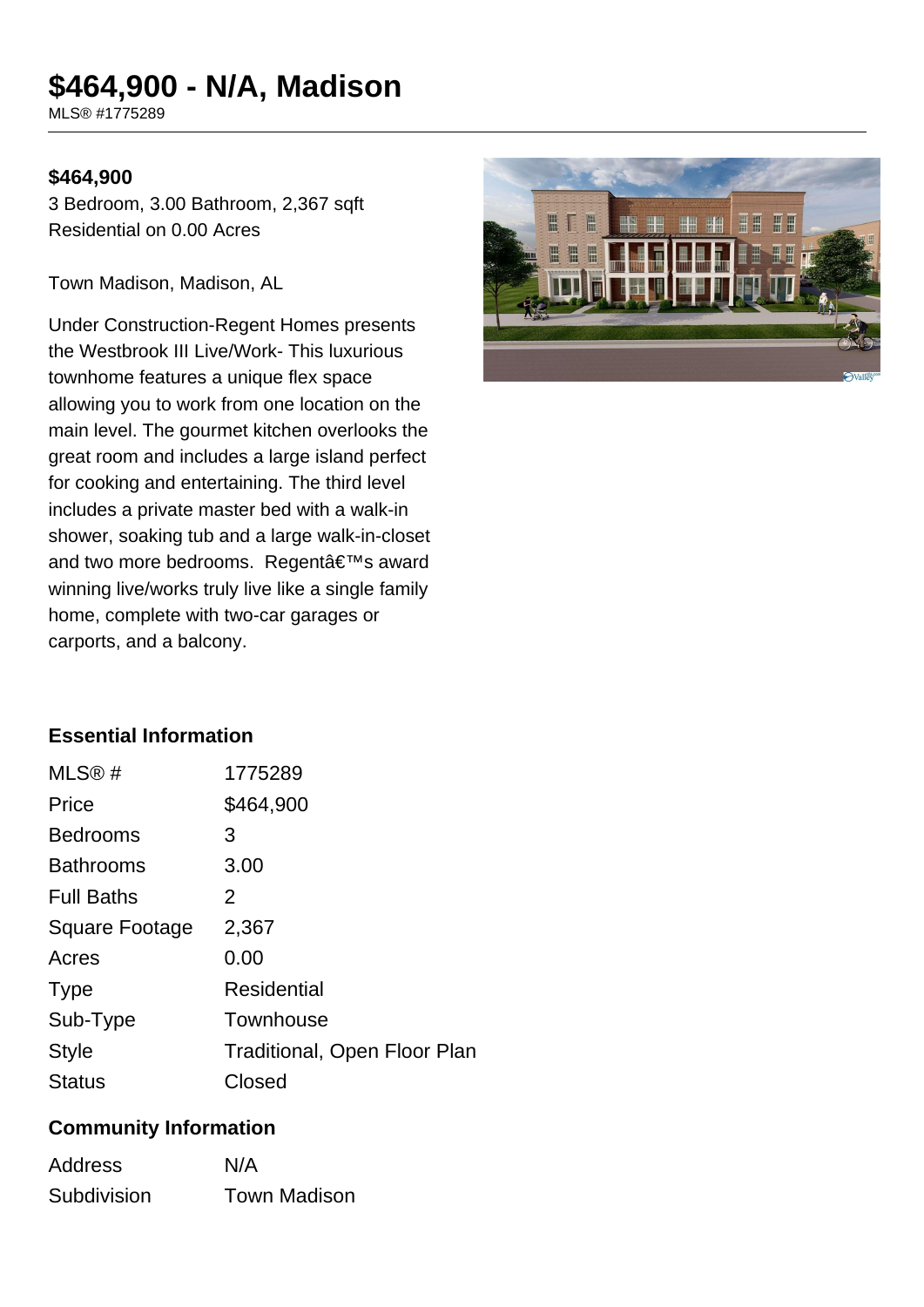# **\$464,900 - N/A, Madison**

MLS® #1775289

#### **\$464,900**

3 Bedroom, 3.00 Bathroom, 2,367 sqft Residential on 0.00 Acres

Town Madison, Madison, AL

Under Construction-Regent Homes presents the Westbrook III Live/Work- This luxurious townhome features a unique flex space allowing you to work from one location on the main level. The gourmet kitchen overlooks the great room and includes a large island perfect for cooking and entertaining. The third level includes a private master bed with a walk-in shower, soaking tub and a large walk-in-closet and two more bedrooms. Regent's award winning live/works truly live like a single family home, complete with two-car garages or carports, and a balcony.



#### **Essential Information**

| MLS@#             | 1775289                             |
|-------------------|-------------------------------------|
| Price             | \$464,900                           |
| <b>Bedrooms</b>   | 3                                   |
| <b>Bathrooms</b>  | 3.00                                |
| <b>Full Baths</b> | 2                                   |
| Square Footage    | 2,367                               |
| Acres             | 0.00                                |
| <b>Type</b>       | Residential                         |
| Sub-Type          | Townhouse                           |
| <b>Style</b>      | <b>Traditional, Open Floor Plan</b> |
| Status            | Closed                              |

#### **Community Information**

| <b>Address</b> | N/A                 |
|----------------|---------------------|
| Subdivision    | <b>Town Madison</b> |